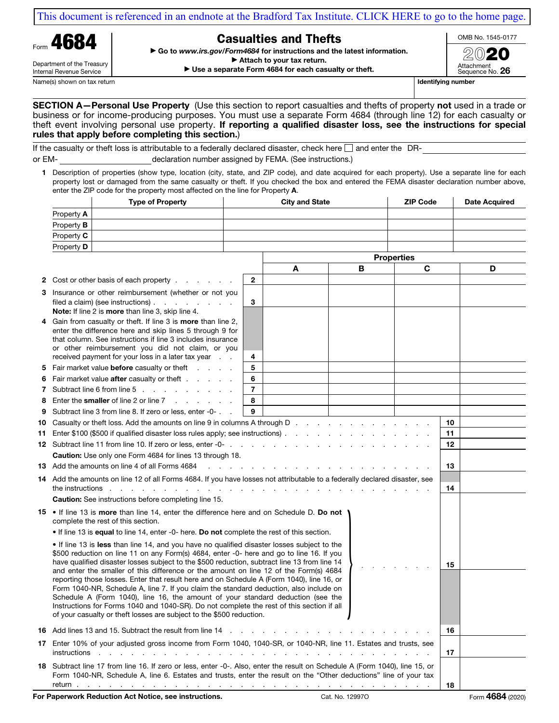[This document is referenced in an endnote at the Bradford Tax Institute. CLICK HERE to go to the home page.](https://www.bradfordtaxinstitute.com)



Internal Revenue Service

## Casualties and Thefts

▶ Go to www.irs.gov/Form4684 for instructions and the latest information.

OMB No. 1545-0177

 $\blacktriangleright$  Attach to your tax return.

▶ Use a separate Form 4684 for each casualty or theft.

2020 Attachment Sequence No. 26

Name(s) shown on tax return and the state of the state of the state of the state of the state of the state of the state of the state of the state of the state of the state of the state of the state of the state of the stat

SECTION A-Personal Use Property (Use this section to report casualties and thefts of property not used in a trade or business or for income-producing purposes. You must use a separate Form 4684 (through line 12) for each casualty or theft event involving personal use property. If reporting a qualified disaster loss, see the instructions for special rules that apply before completing this section.)

If the casualty or theft loss is attributable to a federally declared disaster, check here  $\Box$  and enter the DRor EM- declaration number assigned by FEMA. (See instructions.)

1 Description of properties (show type, location (city, state, and ZIP code), and date acquired for each property). Use a separate line for each property lost or damaged from the same casualty or theft. If you checked the box and entered the FEMA disaster declaration number above, enter the ZIP code for the property most affected on the line for Property A.

|   |                                                                                                                                                                                                                                                                                                                                                                                                                                                                                                                                                                                                                                                                                                                                                                                                                                                                                                                                                                                                                                                                          | <b>Type of Property</b>                                                                                                 |        | <b>City and State</b> |   | <b>ZIP Code</b>   | Date Acquired |
|---|--------------------------------------------------------------------------------------------------------------------------------------------------------------------------------------------------------------------------------------------------------------------------------------------------------------------------------------------------------------------------------------------------------------------------------------------------------------------------------------------------------------------------------------------------------------------------------------------------------------------------------------------------------------------------------------------------------------------------------------------------------------------------------------------------------------------------------------------------------------------------------------------------------------------------------------------------------------------------------------------------------------------------------------------------------------------------|-------------------------------------------------------------------------------------------------------------------------|--------|-----------------------|---|-------------------|---------------|
|   | Property A                                                                                                                                                                                                                                                                                                                                                                                                                                                                                                                                                                                                                                                                                                                                                                                                                                                                                                                                                                                                                                                               |                                                                                                                         |        |                       |   |                   |               |
|   | Property <b>B</b>                                                                                                                                                                                                                                                                                                                                                                                                                                                                                                                                                                                                                                                                                                                                                                                                                                                                                                                                                                                                                                                        |                                                                                                                         |        |                       |   |                   |               |
|   | Property C                                                                                                                                                                                                                                                                                                                                                                                                                                                                                                                                                                                                                                                                                                                                                                                                                                                                                                                                                                                                                                                               |                                                                                                                         |        |                       |   |                   |               |
|   | Property <b>D</b>                                                                                                                                                                                                                                                                                                                                                                                                                                                                                                                                                                                                                                                                                                                                                                                                                                                                                                                                                                                                                                                        |                                                                                                                         |        |                       |   |                   |               |
|   |                                                                                                                                                                                                                                                                                                                                                                                                                                                                                                                                                                                                                                                                                                                                                                                                                                                                                                                                                                                                                                                                          |                                                                                                                         |        |                       |   | <b>Properties</b> |               |
|   |                                                                                                                                                                                                                                                                                                                                                                                                                                                                                                                                                                                                                                                                                                                                                                                                                                                                                                                                                                                                                                                                          |                                                                                                                         |        | A                     | в | C                 | D             |
|   |                                                                                                                                                                                                                                                                                                                                                                                                                                                                                                                                                                                                                                                                                                                                                                                                                                                                                                                                                                                                                                                                          | 2 Cost or other basis of each property                                                                                  | 2      |                       |   |                   |               |
|   |                                                                                                                                                                                                                                                                                                                                                                                                                                                                                                                                                                                                                                                                                                                                                                                                                                                                                                                                                                                                                                                                          | 3 Insurance or other reimbursement (whether or not you                                                                  |        |                       |   |                   |               |
|   |                                                                                                                                                                                                                                                                                                                                                                                                                                                                                                                                                                                                                                                                                                                                                                                                                                                                                                                                                                                                                                                                          | filed a claim) (see instructions) $\ldots$ $\ldots$ $\ldots$                                                            | 3      |                       |   |                   |               |
|   |                                                                                                                                                                                                                                                                                                                                                                                                                                                                                                                                                                                                                                                                                                                                                                                                                                                                                                                                                                                                                                                                          | Note: If line 2 is more than line 3, skip line 4.                                                                       |        |                       |   |                   |               |
| 4 |                                                                                                                                                                                                                                                                                                                                                                                                                                                                                                                                                                                                                                                                                                                                                                                                                                                                                                                                                                                                                                                                          | Gain from casualty or theft. If line 3 is more than line 2,<br>enter the difference here and skip lines 5 through 9 for |        |                       |   |                   |               |
|   |                                                                                                                                                                                                                                                                                                                                                                                                                                                                                                                                                                                                                                                                                                                                                                                                                                                                                                                                                                                                                                                                          | that column. See instructions if line 3 includes insurance                                                              |        |                       |   |                   |               |
|   |                                                                                                                                                                                                                                                                                                                                                                                                                                                                                                                                                                                                                                                                                                                                                                                                                                                                                                                                                                                                                                                                          | or other reimbursement you did not claim, or you                                                                        |        |                       |   |                   |               |
|   |                                                                                                                                                                                                                                                                                                                                                                                                                                                                                                                                                                                                                                                                                                                                                                                                                                                                                                                                                                                                                                                                          | received payment for your loss in a later tax year                                                                      | 4      |                       |   |                   |               |
|   |                                                                                                                                                                                                                                                                                                                                                                                                                                                                                                                                                                                                                                                                                                                                                                                                                                                                                                                                                                                                                                                                          | 5 Fair market value <b>before</b> casualty or theft<br>6 Fair market value after casualty or theft                      | 5<br>6 |                       |   |                   |               |
|   |                                                                                                                                                                                                                                                                                                                                                                                                                                                                                                                                                                                                                                                                                                                                                                                                                                                                                                                                                                                                                                                                          | 7 Subtract line 6 from line 5                                                                                           | 7      |                       |   |                   |               |
| 8 |                                                                                                                                                                                                                                                                                                                                                                                                                                                                                                                                                                                                                                                                                                                                                                                                                                                                                                                                                                                                                                                                          | Enter the <b>smaller</b> of line 2 or line 7                                                                            | 8      |                       |   |                   |               |
| 9 |                                                                                                                                                                                                                                                                                                                                                                                                                                                                                                                                                                                                                                                                                                                                                                                                                                                                                                                                                                                                                                                                          | Subtract line 3 from line 8. If zero or less, enter -0-                                                                 | 9      |                       |   |                   |               |
|   | 10 Casualty or theft loss. Add the amounts on line 9 in columns A through D.                                                                                                                                                                                                                                                                                                                                                                                                                                                                                                                                                                                                                                                                                                                                                                                                                                                                                                                                                                                             |                                                                                                                         |        |                       |   |                   | 10            |
|   | 11 Enter \$100 (\$500 if qualified disaster loss rules apply; see instructions).                                                                                                                                                                                                                                                                                                                                                                                                                                                                                                                                                                                                                                                                                                                                                                                                                                                                                                                                                                                         |                                                                                                                         |        |                       |   |                   | 11            |
|   |                                                                                                                                                                                                                                                                                                                                                                                                                                                                                                                                                                                                                                                                                                                                                                                                                                                                                                                                                                                                                                                                          |                                                                                                                         |        |                       |   |                   | 12            |
|   | Caution: Use only one Form 4684 for lines 13 through 18.                                                                                                                                                                                                                                                                                                                                                                                                                                                                                                                                                                                                                                                                                                                                                                                                                                                                                                                                                                                                                 |                                                                                                                         |        |                       |   |                   |               |
|   | 13 Add the amounts on line 4 of all Forms 4684<br>and the control of                                                                                                                                                                                                                                                                                                                                                                                                                                                                                                                                                                                                                                                                                                                                                                                                                                                                                                                                                                                                     |                                                                                                                         |        |                       |   |                   | 13            |
|   | 14 Add the amounts on line 12 of all Forms 4684. If you have losses not attributable to a federally declared disaster, see                                                                                                                                                                                                                                                                                                                                                                                                                                                                                                                                                                                                                                                                                                                                                                                                                                                                                                                                               |                                                                                                                         |        |                       |   |                   |               |
|   |                                                                                                                                                                                                                                                                                                                                                                                                                                                                                                                                                                                                                                                                                                                                                                                                                                                                                                                                                                                                                                                                          | the instructions.<br><b>Caution:</b> See instructions before completing line 15.                                        |        |                       |   |                   | 14            |
|   | <b>15</b> • If line 13 is more than line 14, enter the difference here and on Schedule D. Do not<br>complete the rest of this section.<br>• If line 13 is equal to line 14, enter -0- here. Do not complete the rest of this section.<br>• If line 13 is less than line 14, and you have no qualified disaster losses subject to the<br>\$500 reduction on line 11 on any Form(s) 4684, enter -0- here and go to line 16. If you<br>have qualified disaster losses subject to the \$500 reduction, subtract line 13 from line 14<br>and enter the smaller of this difference or the amount on line 12 of the Form(s) 4684<br>reporting those losses. Enter that result here and on Schedule A (Form 1040), line 16, or<br>Form 1040-NR, Schedule A, line 7. If you claim the standard deduction, also include on<br>Schedule A (Form 1040), line 16, the amount of your standard deduction (see the<br>Instructions for Forms 1040 and 1040-SR). Do not complete the rest of this section if all<br>of your casualty or theft losses are subject to the \$500 reduction. |                                                                                                                         |        |                       |   |                   |               |
|   |                                                                                                                                                                                                                                                                                                                                                                                                                                                                                                                                                                                                                                                                                                                                                                                                                                                                                                                                                                                                                                                                          |                                                                                                                         |        |                       |   |                   | 15            |
|   |                                                                                                                                                                                                                                                                                                                                                                                                                                                                                                                                                                                                                                                                                                                                                                                                                                                                                                                                                                                                                                                                          |                                                                                                                         |        |                       |   |                   |               |
|   | <b>16</b> Add lines 13 and 15. Subtract the result from line 14 manufacture and containing the state of the state of the state of the state of the state of the state of the state of the state of the state of the state of the st                                                                                                                                                                                                                                                                                                                                                                                                                                                                                                                                                                                                                                                                                                                                                                                                                                      |                                                                                                                         |        |                       |   |                   | 16            |
|   | 17 Enter 10% of your adjusted gross income from Form 1040, 1040-SR, or 1040-NR, line 11. Estates and trusts, see<br>instructions                                                                                                                                                                                                                                                                                                                                                                                                                                                                                                                                                                                                                                                                                                                                                                                                                                                                                                                                         |                                                                                                                         |        |                       |   |                   | 17            |
|   | 18 Subtract line 17 from line 16. If zero or less, enter -0-. Also, enter the result on Schedule A (Form 1040), line 15, or<br>Form 1040-NR, Schedule A, line 6. Estates and trusts, enter the result on the "Other deductions" line of your tax                                                                                                                                                                                                                                                                                                                                                                                                                                                                                                                                                                                                                                                                                                                                                                                                                         |                                                                                                                         |        |                       |   |                   | 18            |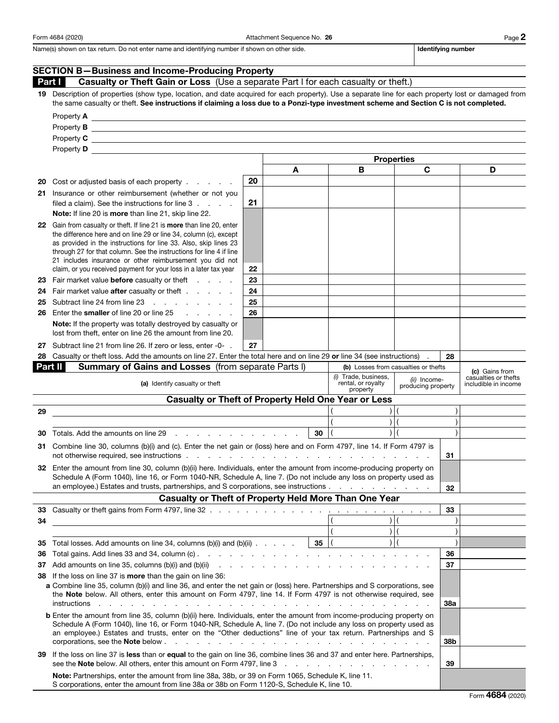Form 4684 (2020) Page 2

Name(s) shown on tax return. Do not enter name and identifying number if shown on other side. In the state of the interviewed and identifying number

|                                                                                                                                                                                                                                                               | <b>SECTION B-Business and Income-Producing Property</b>                                                                                                                                                                                                                                                                                                                                                                                                                            |    |    |                                                        |                                    |            |                                              |
|---------------------------------------------------------------------------------------------------------------------------------------------------------------------------------------------------------------------------------------------------------------|------------------------------------------------------------------------------------------------------------------------------------------------------------------------------------------------------------------------------------------------------------------------------------------------------------------------------------------------------------------------------------------------------------------------------------------------------------------------------------|----|----|--------------------------------------------------------|------------------------------------|------------|----------------------------------------------|
|                                                                                                                                                                                                                                                               | Part I<br>Casualty or Theft Gain or Loss (Use a separate Part I for each casualty or theft.)                                                                                                                                                                                                                                                                                                                                                                                       |    |    |                                                        |                                    |            |                                              |
|                                                                                                                                                                                                                                                               | 19 Description of properties (show type, location, and date acquired for each property). Use a separate line for each property lost or damaged from<br>the same casualty or theft. See instructions if claiming a loss due to a Ponzi-type investment scheme and Section C is not completed.                                                                                                                                                                                       |    |    |                                                        |                                    |            |                                              |
|                                                                                                                                                                                                                                                               |                                                                                                                                                                                                                                                                                                                                                                                                                                                                                    |    |    |                                                        |                                    |            |                                              |
|                                                                                                                                                                                                                                                               |                                                                                                                                                                                                                                                                                                                                                                                                                                                                                    |    |    |                                                        |                                    |            |                                              |
|                                                                                                                                                                                                                                                               |                                                                                                                                                                                                                                                                                                                                                                                                                                                                                    |    |    |                                                        |                                    |            |                                              |
|                                                                                                                                                                                                                                                               | Property D and the state of the state of the state of the state of the state of the state of the state of the state of the state of the state of the state of the state of the state of the state of the state of the state of                                                                                                                                                                                                                                                     |    |    |                                                        |                                    |            |                                              |
|                                                                                                                                                                                                                                                               | <b>Properties</b><br>C<br>В<br>A                                                                                                                                                                                                                                                                                                                                                                                                                                                   |    |    |                                                        |                                    | D          |                                              |
| 20                                                                                                                                                                                                                                                            | Cost or adjusted basis of each property                                                                                                                                                                                                                                                                                                                                                                                                                                            | 20 |    |                                                        |                                    |            |                                              |
|                                                                                                                                                                                                                                                               | 21 Insurance or other reimbursement (whether or not you                                                                                                                                                                                                                                                                                                                                                                                                                            |    |    |                                                        |                                    |            |                                              |
|                                                                                                                                                                                                                                                               | filed a claim). See the instructions for line 3<br>Note: If line 20 is more than line 21, skip line 22.                                                                                                                                                                                                                                                                                                                                                                            | 21 |    |                                                        |                                    |            |                                              |
|                                                                                                                                                                                                                                                               | 22 Gain from casualty or theft. If line 21 is more than line 20, enter<br>the difference here and on line 29 or line 34, column (c), except                                                                                                                                                                                                                                                                                                                                        |    |    |                                                        |                                    |            |                                              |
|                                                                                                                                                                                                                                                               | as provided in the instructions for line 33. Also, skip lines 23                                                                                                                                                                                                                                                                                                                                                                                                                   |    |    |                                                        |                                    |            |                                              |
|                                                                                                                                                                                                                                                               | through 27 for that column. See the instructions for line 4 if line                                                                                                                                                                                                                                                                                                                                                                                                                |    |    |                                                        |                                    |            |                                              |
|                                                                                                                                                                                                                                                               | 21 includes insurance or other reimbursement you did not<br>claim, or you received payment for your loss in a later tax year                                                                                                                                                                                                                                                                                                                                                       | 22 |    |                                                        |                                    |            |                                              |
| 23                                                                                                                                                                                                                                                            | Fair market value <b>before</b> casualty or theft                                                                                                                                                                                                                                                                                                                                                                                                                                  | 23 |    |                                                        |                                    |            |                                              |
| 24                                                                                                                                                                                                                                                            | Fair market value after casualty or theft                                                                                                                                                                                                                                                                                                                                                                                                                                          | 24 |    |                                                        |                                    |            |                                              |
| 25                                                                                                                                                                                                                                                            | Subtract line 24 from line 23                                                                                                                                                                                                                                                                                                                                                                                                                                                      | 25 |    |                                                        |                                    |            |                                              |
| 26                                                                                                                                                                                                                                                            | Enter the smaller of line 20 or line 25<br>.                                                                                                                                                                                                                                                                                                                                                                                                                                       | 26 |    |                                                        |                                    |            |                                              |
|                                                                                                                                                                                                                                                               | Note: If the property was totally destroyed by casualty or<br>lost from theft, enter on line 26 the amount from line 20.                                                                                                                                                                                                                                                                                                                                                           |    |    |                                                        |                                    |            |                                              |
|                                                                                                                                                                                                                                                               | 27 Subtract line 21 from line 26. If zero or less, enter -0- .                                                                                                                                                                                                                                                                                                                                                                                                                     | 27 |    |                                                        |                                    |            |                                              |
| 28                                                                                                                                                                                                                                                            | Casualty or theft loss. Add the amounts on line 27. Enter the total here and on line 29 or line 34 (see instructions)                                                                                                                                                                                                                                                                                                                                                              |    |    |                                                        |                                    | 28         |                                              |
|                                                                                                                                                                                                                                                               | Part II<br><b>Summary of Gains and Losses (from separate Parts I)</b>                                                                                                                                                                                                                                                                                                                                                                                                              |    |    | (b) Losses from casualties or thefts                   |                                    |            | (c) Gains from                               |
|                                                                                                                                                                                                                                                               | (a) Identify casualty or theft                                                                                                                                                                                                                                                                                                                                                                                                                                                     |    |    | (i) Trade, business,<br>rental, or royalty<br>property | (ii) Income-<br>producing property |            | casualties or thefts<br>includible in income |
|                                                                                                                                                                                                                                                               | <b>Casualty or Theft of Property Held One Year or Less</b>                                                                                                                                                                                                                                                                                                                                                                                                                         |    |    |                                                        |                                    |            |                                              |
| 29                                                                                                                                                                                                                                                            | <u> 1989 - Johann Barn, fransk politik amerikansk politik (</u>                                                                                                                                                                                                                                                                                                                                                                                                                    |    |    |                                                        |                                    |            |                                              |
| 30                                                                                                                                                                                                                                                            |                                                                                                                                                                                                                                                                                                                                                                                                                                                                                    |    | 30 |                                                        |                                    |            |                                              |
|                                                                                                                                                                                                                                                               | 31 Combine line 30, columns (b)(i) and (c). Enter the net gain or (loss) here and on Form 4797, line 14. If Form 4797 is                                                                                                                                                                                                                                                                                                                                                           |    |    |                                                        |                                    |            |                                              |
|                                                                                                                                                                                                                                                               | not otherwise required, see instructions exception of the contract of the contract of the contract of the contract of the contract of the contract of the contract of the contract of the contract of the contract of the cont                                                                                                                                                                                                                                                     |    |    |                                                        |                                    | 31         |                                              |
|                                                                                                                                                                                                                                                               | 32 Enter the amount from line 30, column (b)(ii) here. Individuals, enter the amount from income-producing property on<br>Schedule A (Form 1040), line 16, or Form 1040-NR, Schedule A, line 7. (Do not include any loss on property used as<br>an employee.) Estates and trusts, partnerships, and S corporations, see instructions                                                                                                                                               |    |    |                                                        |                                    |            |                                              |
|                                                                                                                                                                                                                                                               | <b>Casualty or Theft of Property Held More Than One Year</b>                                                                                                                                                                                                                                                                                                                                                                                                                       |    |    |                                                        |                                    | 32         |                                              |
| 33                                                                                                                                                                                                                                                            |                                                                                                                                                                                                                                                                                                                                                                                                                                                                                    |    |    |                                                        |                                    | 33         |                                              |
| 34                                                                                                                                                                                                                                                            |                                                                                                                                                                                                                                                                                                                                                                                                                                                                                    |    |    |                                                        |                                    |            |                                              |
|                                                                                                                                                                                                                                                               |                                                                                                                                                                                                                                                                                                                                                                                                                                                                                    |    |    |                                                        |                                    |            |                                              |
| 35                                                                                                                                                                                                                                                            | Total losses. Add amounts on line 34, columns (b)(i) and (b)(ii) $\ldots$ $\ldots$ $\mid$ 35   (                                                                                                                                                                                                                                                                                                                                                                                   |    |    |                                                        |                                    |            |                                              |
| 36                                                                                                                                                                                                                                                            |                                                                                                                                                                                                                                                                                                                                                                                                                                                                                    |    |    |                                                        |                                    | 36<br>37   |                                              |
| 38                                                                                                                                                                                                                                                            | de la casa de la casa de la casa de la casa de la casa<br>Add amounts on line 35, columns (b)(i) and (b)(ii)<br>37<br>If the loss on line 37 is <b>more</b> than the gain on line 36:                                                                                                                                                                                                                                                                                              |    |    |                                                        |                                    |            |                                              |
| a Combine line 35, column (b)(i) and line 36, and enter the net gain or (loss) here. Partnerships and S corporations, see<br>the Note below. All others, enter this amount on Form 4797, line 14. If Form 4797 is not otherwise required, see<br>instructions |                                                                                                                                                                                                                                                                                                                                                                                                                                                                                    |    |    |                                                        |                                    | <b>38a</b> |                                              |
|                                                                                                                                                                                                                                                               | <b>b</b> Enter the amount from line 35, column (b)(ii) here. Individuals, enter the amount from income-producing property on<br>Schedule A (Form 1040), line 16, or Form 1040-NR, Schedule A, line 7. (Do not include any loss on property used as<br>an employee.) Estates and trusts, enter on the "Other deductions" line of your tax return. Partnerships and S<br>corporations, see the <b>Note</b> below.<br>$\mathbf{r}$ and $\mathbf{r}$ and $\mathbf{r}$ and $\mathbf{r}$ |    |    |                                                        |                                    |            |                                              |
| 39                                                                                                                                                                                                                                                            | If the loss on line 37 is less than or equal to the gain on line 36, combine lines 36 and 37 and enter here. Partnerships,                                                                                                                                                                                                                                                                                                                                                         |    |    |                                                        |                                    | 39         |                                              |
|                                                                                                                                                                                                                                                               | Note: Partnerships, enter the amount from line 38a, 38b, or 39 on Form 1065, Schedule K, line 11.<br>S corporations, enter the amount from line 38a or 38b on Form 1120-S, Schedule K, line 10.                                                                                                                                                                                                                                                                                    |    |    |                                                        |                                    |            |                                              |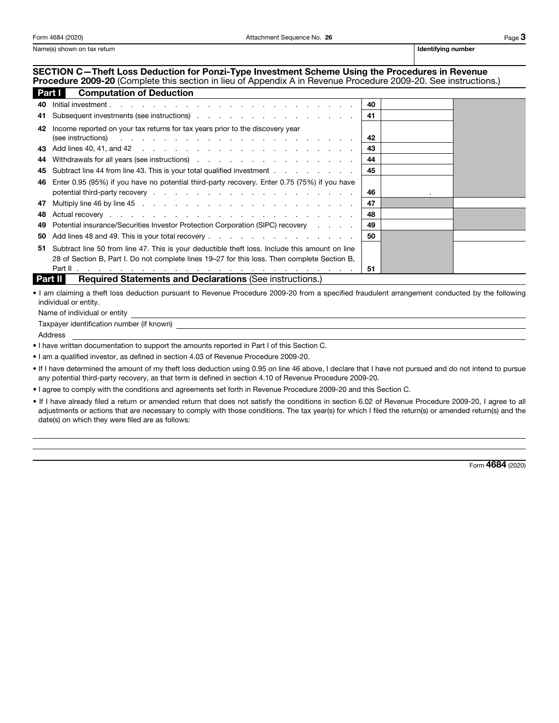Name(s) shown on tax return is a state of the state of the state of the state of the state of the state of the state of the state of the state of the state of the state of the state of the state of the state of the state o

## SECTION C—Theft Loss Deduction for Ponzi-Type Investment Scheme Using the Procedures in Revenue

Procedure 2009-20 (Complete this section in lieu of Appendix A in Revenue Procedure 2009-20. See instructions.)<br>
2311 Computation of Deduction

| <b>Part I</b><br><b>Computation of Deduction</b> |                                                                                                                                                                                                                                                                                                                                                                |    |  |  |  |
|--------------------------------------------------|----------------------------------------------------------------------------------------------------------------------------------------------------------------------------------------------------------------------------------------------------------------------------------------------------------------------------------------------------------------|----|--|--|--|
| 40                                               | $Initial investment.$ $\qquad \qquad$ $\qquad \qquad$ $\qquad$ $\qquad$ $\qquad$ $\qquad$ $\qquad$ $\qquad$ $\qquad$ $\qquad$ $\qquad$ $\qquad$ $\qquad$ $\qquad$ $\qquad$ $\qquad$ $\qquad$ $\qquad$ $\qquad$ $\qquad$ $\qquad$ $\qquad$ $\qquad$ $\qquad$ $\qquad$ $\qquad$ $\qquad$ $\qquad$ $\qquad$ $\qquad$ $\qquad$ $\qquad$ $\qquad$ $\qquad$ $\qquad$ |    |  |  |  |
| 41                                               | Subsequent investments (see instructions) 41                                                                                                                                                                                                                                                                                                                   |    |  |  |  |
| 42                                               | Income reported on your tax returns for tax years prior to the discovery year<br>(see instructions) and a set of the set of the set of the set of the set of the set of the set of the set of the set of the set of the set of the set of the set of the set of the set of the set of the set of the set of the                                                | 42 |  |  |  |
|                                                  |                                                                                                                                                                                                                                                                                                                                                                | 43 |  |  |  |
|                                                  |                                                                                                                                                                                                                                                                                                                                                                | 44 |  |  |  |
|                                                  | 45 Subtract line 44 from line 43. This is your total qualified investment                                                                                                                                                                                                                                                                                      | 45 |  |  |  |
|                                                  | 46 Enter 0.95 (95%) if you have no potential third-party recovery. Enter 0.75 (75%) if you have                                                                                                                                                                                                                                                                |    |  |  |  |
|                                                  |                                                                                                                                                                                                                                                                                                                                                                | 46 |  |  |  |
| 47                                               |                                                                                                                                                                                                                                                                                                                                                                | 47 |  |  |  |
| 48                                               |                                                                                                                                                                                                                                                                                                                                                                | 48 |  |  |  |
| 49.                                              | Potential insurance/Securities Investor Protection Corporation (SIPC) recovery                                                                                                                                                                                                                                                                                 | 49 |  |  |  |
| 50                                               |                                                                                                                                                                                                                                                                                                                                                                | 50 |  |  |  |
|                                                  | 51 Subtract line 50 from line 47. This is your deductible theft loss. Include this amount on line                                                                                                                                                                                                                                                              |    |  |  |  |
|                                                  | 28 of Section B, Part I. Do not complete lines 19–27 for this loss. Then complete Section B,                                                                                                                                                                                                                                                                   |    |  |  |  |
|                                                  |                                                                                                                                                                                                                                                                                                                                                                | 51 |  |  |  |

**Part II** Required Statements and Declarations (See instructions.)

• I am claiming a theft loss deduction pursuant to Revenue Procedure 2009-20 from a specified fraudulent arrangement conducted by the following individual or entity.

Name of individual or entity

Taxpayer identification number (if known)

Address

• I have written documentation to support the amounts reported in Part I of this Section C.

• I am a qualified investor, as defined in section 4.03 of Revenue Procedure 2009-20.

• If I have determined the amount of my theft loss deduction using 0.95 on line 46 above, I declare that I have not pursued and do not intend to pursue any potential third-party recovery, as that term is defined in section 4.10 of Revenue Procedure 2009-20.

• I agree to comply with the conditions and agreements set forth in Revenue Procedure 2009-20 and this Section C.

• If I have already filed a return or amended return that does not satisfy the conditions in section 6.02 of Revenue Procedure 2009-20, I agree to all adjustments or actions that are necessary to comply with those conditions. The tax year(s) for which I filed the return(s) or amended return(s) and the date(s) on which they were filed are as follows:

Form 4684 (2020)